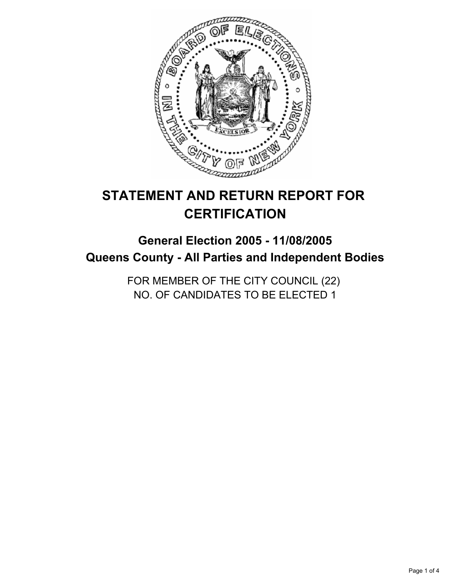

# **STATEMENT AND RETURN REPORT FOR CERTIFICATION**

## **General Election 2005 - 11/08/2005 Queens County - All Parties and Independent Bodies**

FOR MEMBER OF THE CITY COUNCIL (22) NO. OF CANDIDATES TO BE ELECTED 1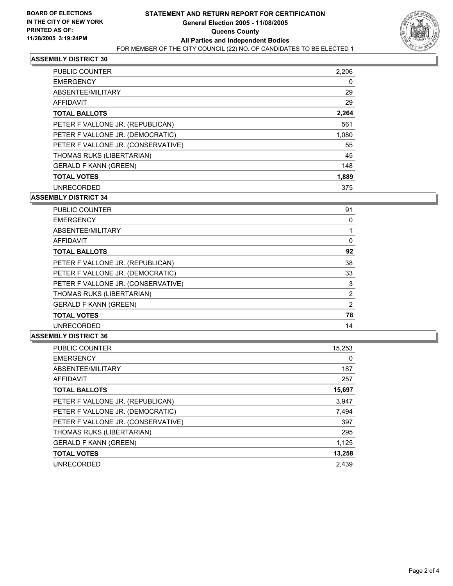

#### **ASSEMBLY DISTRICT 30**

| PUBLIC COUNTER                     | 2,206 |
|------------------------------------|-------|
| <b>EMERGENCY</b>                   | 0     |
| ABSENTEE/MILITARY                  | 29    |
| AFFIDAVIT                          | 29    |
| <b>TOTAL BALLOTS</b>               | 2,264 |
| PETER F VALLONE JR. (REPUBLICAN)   | 561   |
| PETER F VALLONE JR. (DEMOCRATIC)   | 1,080 |
| PETER F VALLONE JR. (CONSERVATIVE) | 55    |
| THOMAS RUKS (LIBERTARIAN)          | 45    |
| <b>GERALD F KANN (GREEN)</b>       | 148   |
| <b>TOTAL VOTES</b>                 | 1,889 |
| <b>UNRECORDED</b>                  | 375   |

#### **ASSEMBLY DISTRICT 34**

| 91<br><b>PUBLIC COUNTER</b>             |  |
|-----------------------------------------|--|
| <b>EMERGENCY</b>                        |  |
| ABSENTEE/MILITARY                       |  |
| <b>AFFIDAVIT</b><br>0                   |  |
| 92<br><b>TOTAL BALLOTS</b>              |  |
| PETER F VALLONE JR. (REPUBLICAN)<br>38  |  |
| PETER F VALLONE JR. (DEMOCRATIC)<br>33  |  |
| PETER F VALLONE JR. (CONSERVATIVE)<br>3 |  |
| THOMAS RUKS (LIBERTARIAN)<br>2          |  |
| <b>GERALD F KANN (GREEN)</b><br>2       |  |
| 78<br><b>TOTAL VOTES</b>                |  |
| <b>UNRECORDED</b><br>14                 |  |

#### **ASSEMBLY DISTRICT 36**

| 15,253 |
|--------|
| 0      |
| 187    |
| 257    |
| 15,697 |
| 3,947  |
| 7,494  |
| 397    |
| 295    |
| 1,125  |
| 13,258 |
| 2.439  |
|        |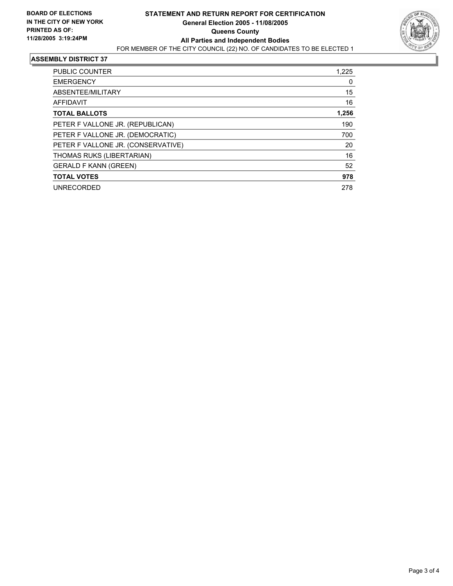

#### **ASSEMBLY DISTRICT 37**

| PUBLIC COUNTER                     | 1,225 |
|------------------------------------|-------|
| <b>EMERGENCY</b>                   | 0     |
| ABSENTEE/MILITARY                  | 15    |
| AFFIDAVIT                          | 16    |
| <b>TOTAL BALLOTS</b>               | 1,256 |
| PETER F VALLONE JR. (REPUBLICAN)   | 190   |
| PETER F VALLONE JR. (DEMOCRATIC)   | 700   |
| PETER F VALLONE JR. (CONSERVATIVE) | 20    |
| THOMAS RUKS (LIBERTARIAN)          | 16    |
| <b>GERALD F KANN (GREEN)</b>       | 52    |
| <b>TOTAL VOTES</b>                 | 978   |
| <b>UNRECORDED</b>                  | 278   |